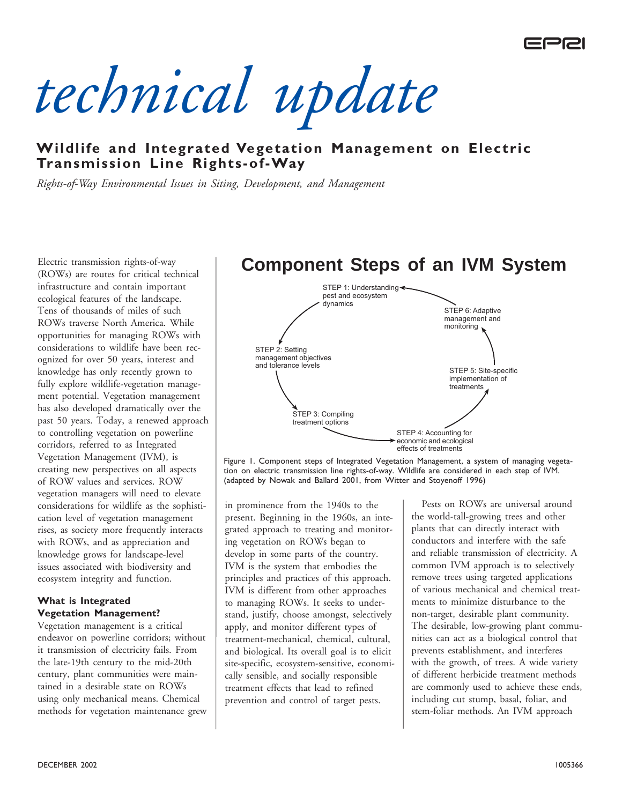

*technical update*

# **Wildlife and Integrated Vegetation Management on Electric Transmission Line Rights-of-Way**

*Rights-of-Way Environmental Issues in Siting, Development, and Management*

Electric transmission rights-of-way (ROWs) are routes for critical technical infrastructure and contain important ecological features of the landscape. Tens of thousands of miles of such ROWs traverse North America. While opportunities for managing ROWs with considerations to wildlife have been recognized for over 50 years, interest and knowledge has only recently grown to fully explore wildlife-vegetation management potential. Vegetation management has also developed dramatically over the past 50 years. Today, a renewed approach to controlling vegetation on powerline corridors, referred to as Integrated Vegetation Management (IVM), is creating new perspectives on all aspects of ROW values and services. ROW vegetation managers will need to elevate considerations for wildlife as the sophistication level of vegetation management rises, as society more frequently interacts with ROWs, and as appreciation and knowledge grows for landscape-level issues associated with biodiversity and ecosystem integrity and function.

#### **What is Integrated Vegetation Management?**

Vegetation management is a critical endeavor on powerline corridors; without it transmission of electricity fails. From the late-19th century to the mid-20th century, plant communities were maintained in a desirable state on ROWs using only mechanical means. Chemical methods for vegetation maintenance grew



economic and ecological effects of treatments

Figure 1. Component steps of Integrated Vegetation Management, a system of managing vegetation on electric transmission line rights-of-way. Wildlife are considered in each step of IVM. (adapted by Nowak and Ballard 2001, from Witter and Stoyenoff 1996)

in prominence from the 1940s to the present. Beginning in the 1960s, an integrated approach to treating and monitoring vegetation on ROWs began to develop in some parts of the country. IVM is the system that embodies the principles and practices of this approach. IVM is different from other approaches to managing ROWs. It seeks to understand, justify, choose amongst, selectively apply, and monitor different types of treatment-mechanical, chemical, cultural, and biological. Its overall goal is to elicit site-specific, ecosystem-sensitive, economically sensible, and socially responsible treatment effects that lead to refined prevention and control of target pests.

Pests on ROWs are universal around the world-tall-growing trees and other plants that can directly interact with conductors and interfere with the safe and reliable transmission of electricity. A common IVM approach is to selectively remove trees using targeted applications of various mechanical and chemical treatments to minimize disturbance to the non-target, desirable plant community. The desirable, low-growing plant communities can act as a biological control that prevents establishment, and interferes with the growth, of trees. A wide variety of different herbicide treatment methods are commonly used to achieve these ends, including cut stump, basal, foliar, and stem-foliar methods. An IVM approach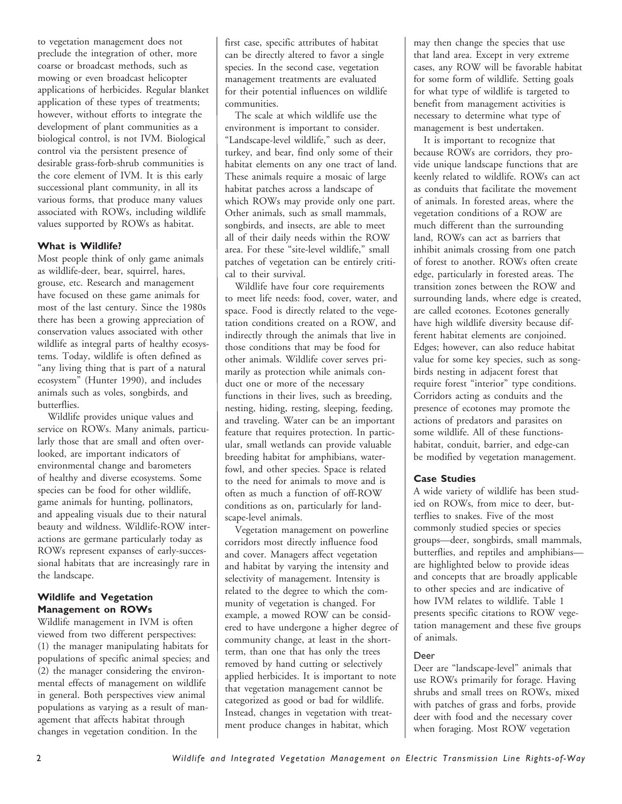to vegetation management does not preclude the integration of other, more coarse or broadcast methods, such as mowing or even broadcast helicopter applications of herbicides. Regular blanket application of these types of treatments; however, without efforts to integrate the development of plant communities as a biological control, is not IVM. Biological control via the persistent presence of desirable grass-forb-shrub communities is the core element of IVM. It is this early successional plant community, in all its various forms, that produce many values associated with ROWs, including wildlife values supported by ROWs as habitat.

### **What is Wildlife?**

Most people think of only game animals as wildlife-deer, bear, squirrel, hares, grouse, etc. Research and management have focused on these game animals for most of the last century. Since the 1980s there has been a growing appreciation of conservation values associated with other wildlife as integral parts of healthy ecosystems. Today, wildlife is often defined as "any living thing that is part of a natural ecosystem" (Hunter 1990), and includes animals such as voles, songbirds, and butterflies.

Wildlife provides unique values and service on ROWs. Many animals, particularly those that are small and often overlooked, are important indicators of environmental change and barometers of healthy and diverse ecosystems. Some species can be food for other wildlife, game animals for hunting, pollinators, and appealing visuals due to their natural beauty and wildness. Wildlife-ROW interactions are germane particularly today as ROWs represent expanses of early-successional habitats that are increasingly rare in the landscape.

### **Wildlife and Vegetation Management on ROWs**

Wildlife management in IVM is often viewed from two different perspectives: (1) the manager manipulating habitats for populations of specific animal species; and (2) the manager considering the environmental effects of management on wildlife in general. Both perspectives view animal populations as varying as a result of management that affects habitat through changes in vegetation condition. In the

first case, specific attributes of habitat can be directly altered to favor a single species. In the second case, vegetation management treatments are evaluated for their potential influences on wildlife communities.

The scale at which wildlife use the environment is important to consider. "Landscape-level wildlife," such as deer, turkey, and bear, find only some of their habitat elements on any one tract of land. These animals require a mosaic of large habitat patches across a landscape of which ROWs may provide only one part. Other animals, such as small mammals, songbirds, and insects, are able to meet all of their daily needs within the ROW area. For these "site-level wildlife," small patches of vegetation can be entirely critical to their survival.

Wildlife have four core requirements to meet life needs: food, cover, water, and space. Food is directly related to the vegetation conditions created on a ROW, and indirectly through the animals that live in those conditions that may be food for other animals. Wildlife cover serves primarily as protection while animals conduct one or more of the necessary functions in their lives, such as breeding, nesting, hiding, resting, sleeping, feeding, and traveling. Water can be an important feature that requires protection. In particular, small wetlands can provide valuable breeding habitat for amphibians, waterfowl, and other species. Space is related to the need for animals to move and is often as much a function of off-ROW conditions as on, particularly for landscape-level animals.

Vegetation management on powerline corridors most directly influence food and cover. Managers affect vegetation and habitat by varying the intensity and selectivity of management. Intensity is related to the degree to which the community of vegetation is changed. For example, a mowed ROW can be considered to have undergone a higher degree of community change, at least in the shortterm, than one that has only the trees removed by hand cutting or selectively applied herbicides. It is important to note that vegetation management cannot be categorized as good or bad for wildlife. Instead, changes in vegetation with treatment produce changes in habitat, which

may then change the species that use that land area. Except in very extreme cases, any ROW will be favorable habitat for some form of wildlife. Setting goals for what type of wildlife is targeted to benefit from management activities is necessary to determine what type of management is best undertaken.

It is important to recognize that because ROWs are corridors, they provide unique landscape functions that are keenly related to wildlife. ROWs can act as conduits that facilitate the movement of animals. In forested areas, where the vegetation conditions of a ROW are much different than the surrounding land, ROWs can act as barriers that inhibit animals crossing from one patch of forest to another. ROWs often create edge, particularly in forested areas. The transition zones between the ROW and surrounding lands, where edge is created, are called ecotones. Ecotones generally have high wildlife diversity because different habitat elements are conjoined. Edges; however, can also reduce habitat value for some key species, such as songbirds nesting in adjacent forest that require forest "interior" type conditions. Corridors acting as conduits and the presence of ecotones may promote the actions of predators and parasites on some wildlife. All of these functionshabitat, conduit, barrier, and edge-can be modified by vegetation management.

## **Case Studies**

A wide variety of wildlife has been studied on ROWs, from mice to deer, butterflies to snakes. Five of the most commonly studied species or species groups—deer, songbirds, small mammals, butterflies, and reptiles and amphibians are highlighted below to provide ideas and concepts that are broadly applicable to other species and are indicative of how IVM relates to wildlife. Table 1 presents specific citations to ROW vegetation management and these five groups of animals.

#### Deer

Deer are "landscape-level" animals that use ROWs primarily for forage. Having shrubs and small trees on ROWs, mixed with patches of grass and forbs, provide deer with food and the necessary cover when foraging. Most ROW vegetation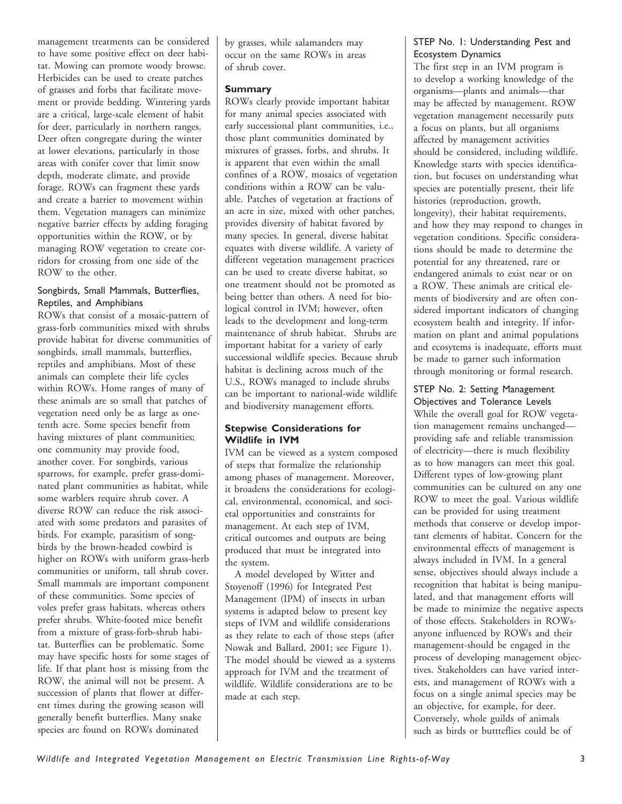management treatments can be considered to have some positive effect on deer habitat. Mowing can promote woody browse. Herbicides can be used to create patches of grasses and forbs that facilitate movement or provide bedding. Wintering yards are a critical, large-scale element of habit for deer, particularly in northern ranges. Deer often congregate during the winter at lower elevations, particularly in those areas with conifer cover that limit snow depth, moderate climate, and provide forage. ROWs can fragment these yards and create a barrier to movement within them. Vegetation managers can minimize negative barrier effects by adding foraging opportunities within the ROW, or by managing ROW vegetation to create corridors for crossing from one side of the ROW to the other.

# Songbirds, Small Mammals, Butterflies, Reptiles, and Amphibians

ROWs that consist of a mosaic-pattern of grass-forb communities mixed with shrubs provide habitat for diverse communities of songbirds, small mammals, butterflies, reptiles and amphibians. Most of these animals can complete their life cycles within ROWs. Home ranges of many of these animals are so small that patches of vegetation need only be as large as onetenth acre. Some species benefit from having mixtures of plant communities; one community may provide food, another cover. For songbirds, various sparrows, for example, prefer grass-dominated plant communities as habitat, while some warblers require shrub cover. A diverse ROW can reduce the risk associated with some predators and parasites of birds. For example, parasitism of songbirds by the brown-headed cowbird is higher on ROWs with uniform grass-herb communities or uniform, tall shrub cover. Small mammals are important component of these communities. Some species of voles prefer grass habitats, whereas others prefer shrubs. White-footed mice benefit from a mixture of grass-forb-shrub habitat. Butterflies can be problematic. Some may have specific hosts for some stages of life. If that plant host is missing from the ROW, the animal will not be present. A succession of plants that flower at different times during the growing season will generally benefit butterflies. Many snake species are found on ROWs dominated

by grasses, while salamanders may occur on the same ROWs in areas of shrub cover.

## **Summary**

ROWs clearly provide important habitat for many animal species associated with early successional plant communities, i.e., those plant communities dominated by mixtures of grasses, forbs, and shrubs. It is apparent that even within the small confines of a ROW, mosaics of vegetation conditions within a ROW can be valuable. Patches of vegetation at fractions of an acre in size, mixed with other patches, provides diversity of habitat favored by many species. In general, diverse habitat equates with diverse wildlife. A variety of different vegetation management practices can be used to create diverse habitat, so one treatment should not be promoted as being better than others. A need for biological control in IVM; however, often leads to the development and long-term maintenance of shrub habitat. Shrubs are important habitat for a variety of early successional wildlife species. Because shrub habitat is declining across much of the U.S., ROWs managed to include shrubs can be important to national-wide wildlife and biodiversity management efforts.

## **Stepwise Considerations for Wildlife in IVM**

IVM can be viewed as a system composed of steps that formalize the relationship among phases of management. Moreover, it broadens the considerations for ecological, environmental, economical, and societal opportunities and constraints for management. At each step of IVM, critical outcomes and outputs are being produced that must be integrated into the system.

A model developed by Witter and Stoyenoff (1996) for Integrated Pest Management (IPM) of insects in urban systems is adapted below to present key steps of IVM and wildlife considerations as they relate to each of those steps (after Nowak and Ballard, 2001; see Figure 1). The model should be viewed as a systems approach for IVM and the treatment of wildlife. Wildlife considerations are to be made at each step.

# STEP No. 1: Understanding Pest and Ecosystem Dynamics

The first step in an IVM program is to develop a working knowledge of the organisms—plants and animals—that may be affected by management. ROW vegetation management necessarily puts a focus on plants, but all organisms affected by management activities should be considered, including wildlife. Knowledge starts with species identification, but focuses on understanding what species are potentially present, their life histories (reproduction, growth, longevity), their habitat requirements, and how they may respond to changes in vegetation conditions. Specific considerations should be made to determine the potential for any threatened, rare or endangered animals to exist near or on a ROW. These animals are critical elements of biodiversity and are often considered important indicators of changing ecosystem health and integrity. If information on plant and animal populations and ecosytems is inadequate, efforts must be made to garner such information through monitoring or formal research.

# STEP No. 2: Setting Management

Objectives and Tolerance Levels While the overall goal for ROW vegetation management remains unchanged providing safe and reliable transmission of electricity—there is much flexibility as to how managers can meet this goal. Different types of low-growing plant communities can be cultured on any one ROW to meet the goal. Various wildlife can be provided for using treatment methods that conserve or develop important elements of habitat. Concern for the environmental effects of management is always included in IVM. In a general sense, objectives should always include a recognition that habitat is being manipulated, and that management efforts will be made to minimize the negative aspects of those effects. Stakeholders in ROWsanyone influenced by ROWs and their management-should be engaged in the process of developing management objectives. Stakeholders can have varied interests, and management of ROWs with a focus on a single animal species may be an objective, for example, for deer. Conversely, whole guilds of animals such as birds or buttteflies could be of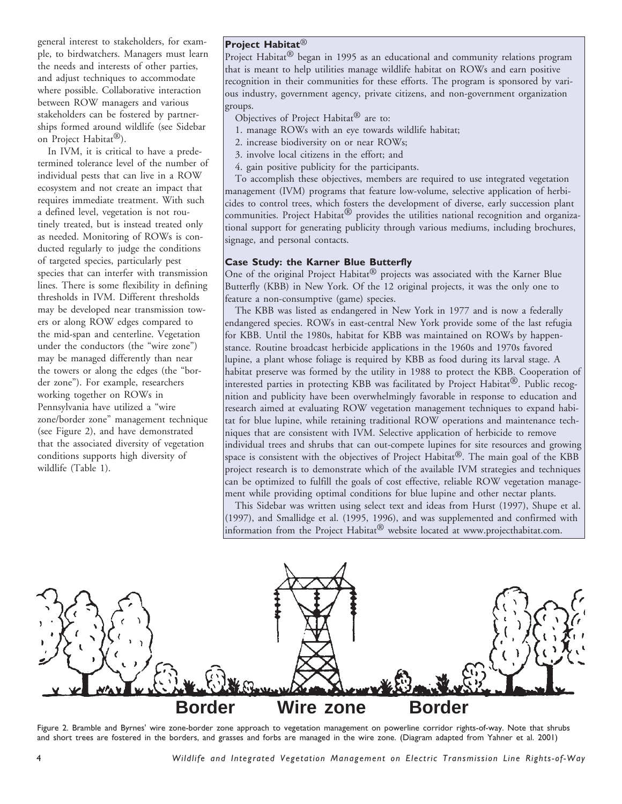general interest to stakeholders, for example, to birdwatchers. Managers must learn the needs and interests of other parties, and adjust techniques to accommodate where possible. Collaborative interaction between ROW managers and various stakeholders can be fostered by partnerships formed around wildlife (see Sidebar on Project Habitat®).

In IVM, it is critical to have a predetermined tolerance level of the number of individual pests that can live in a ROW ecosystem and not create an impact that requires immediate treatment. With such a defined level, vegetation is not routinely treated, but is instead treated only as needed. Monitoring of ROWs is conducted regularly to judge the conditions of targeted species, particularly pest species that can interfer with transmission lines. There is some flexibility in defining thresholds in IVM. Different thresholds may be developed near transmission towers or along ROW edges compared to the mid-span and centerline. Vegetation under the conductors (the "wire zone") may be managed differently than near the towers or along the edges (the "border zone"). For example, researchers working together on ROWs in Pennsylvania have utilized a "wire zone/border zone" management technique (see Figure 2), and have demonstrated that the associated diversity of vegetation conditions supports high diversity of wildlife (Table 1).

# **Project Habitat**®

Project Habitat<sup>®</sup> began in 1995 as an educational and community relations program that is meant to help utilities manage wildlife habitat on ROWs and earn positive recognition in their communities for these efforts. The program is sponsored by various industry, government agency, private citizens, and non-government organization groups.

- Objectives of Project Habitat® are to:
- 1. manage ROWs with an eye towards wildlife habitat;
- 2. increase biodiversity on or near ROWs;
- 3. involve local citizens in the effort; and
- 4. gain positive publicity for the participants.

To accomplish these objectives, members are required to use integrated vegetation management (IVM) programs that feature low-volume, selective application of herbicides to control trees, which fosters the development of diverse, early succession plant communities. Project Habitat<sup>®</sup> provides the utilities national recognition and organizational support for generating publicity through various mediums, including brochures, signage, and personal contacts.

#### **Case Study: the Karner Blue Butterfly**

One of the original Project Habitat<sup>®</sup> projects was associated with the Karner Blue Butterfly (KBB) in New York. Of the 12 original projects, it was the only one to feature a non-consumptive (game) species.

The KBB was listed as endangered in New York in 1977 and is now a federally endangered species. ROWs in east-central New York provide some of the last refugia for KBB. Until the 1980s, habitat for KBB was maintained on ROWs by happenstance. Routine broadcast herbicide applications in the 1960s and 1970s favored lupine, a plant whose foliage is required by KBB as food during its larval stage. A habitat preserve was formed by the utility in 1988 to protect the KBB. Cooperation of interested parties in protecting KBB was facilitated by Project Habitat<sup>®</sup>. Public recognition and publicity have been overwhelmingly favorable in response to education and research aimed at evaluating ROW vegetation management techniques to expand habitat for blue lupine, while retaining traditional ROW operations and maintenance techniques that are consistent with IVM. Selective application of herbicide to remove individual trees and shrubs that can out-compete lupines for site resources and growing space is consistent with the objectives of Project Habitat<sup>®</sup>. The main goal of the KBB project research is to demonstrate which of the available IVM strategies and techniques can be optimized to fulfill the goals of cost effective, reliable ROW vegetation management while providing optimal conditions for blue lupine and other nectar plants.

This Sidebar was written using select text and ideas from Hurst (1997), Shupe et al. (1997), and Smallidge et al. (1995, 1996), and was supplemented and confirmed with information from the Project Habitat® website located at www.projecthabitat.com.



Figure 2. Bramble and Byrnes' wire zone-border zone approach to vegetation management on powerline corridor rights-of-way. Note that shrubs and short trees are fostered in the borders, and grasses and forbs are managed in the wire zone. (Diagram adapted from Yahner et al. 2001)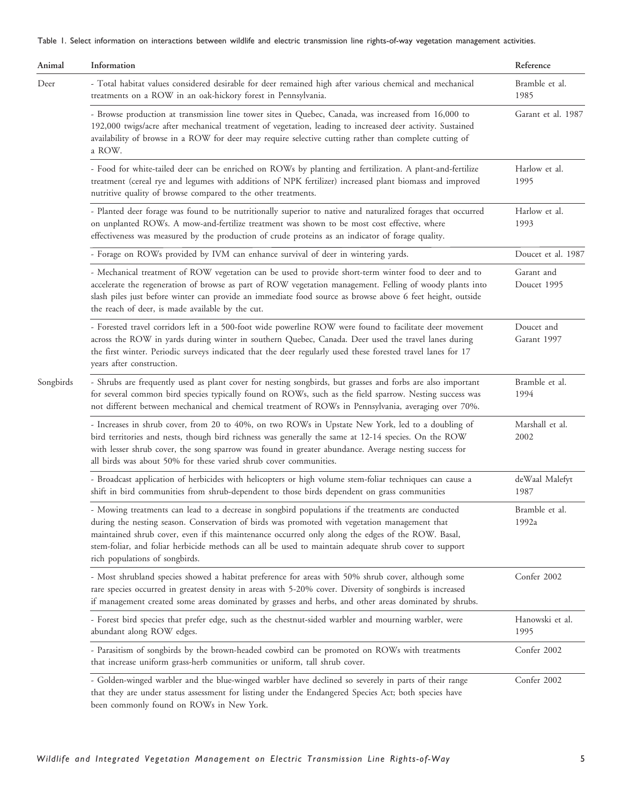Table 1. Select information on interactions between wildlife and electric transmission line rights-of-way vegetation management activities.

| Animal    | Information                                                                                                                                                                                                                                                                                                                                                                                                                                         | Reference                 |
|-----------|-----------------------------------------------------------------------------------------------------------------------------------------------------------------------------------------------------------------------------------------------------------------------------------------------------------------------------------------------------------------------------------------------------------------------------------------------------|---------------------------|
| Deer      | - Total habitat values considered desirable for deer remained high after various chemical and mechanical<br>treatments on a ROW in an oak-hickory forest in Pennsylvania.                                                                                                                                                                                                                                                                           | Bramble et al.<br>1985    |
|           | - Browse production at transmission line tower sites in Quebec, Canada, was increased from 16,000 to<br>192,000 twigs/acre after mechanical treatment of vegetation, leading to increased deer activity. Sustained<br>availability of browse in a ROW for deer may require selective cutting rather than complete cutting of<br>a ROW.                                                                                                              | Garant et al. 1987        |
|           | - Food for white-tailed deer can be enriched on ROWs by planting and fertilization. A plant-and-fertilize<br>treatment (cereal rye and legumes with additions of NPK fertilizer) increased plant biomass and improved<br>nutritive quality of browse compared to the other treatments.                                                                                                                                                              | Harlow et al.<br>1995     |
|           | - Planted deer forage was found to be nutritionally superior to native and naturalized forages that occurred<br>on unplanted ROWs. A mow-and-fertilize treatment was shown to be most cost effective, where<br>effectiveness was measured by the production of crude proteins as an indicator of forage quality.                                                                                                                                    | Harlow et al.<br>1993     |
|           | - Forage on ROWs provided by IVM can enhance survival of deer in wintering yards.                                                                                                                                                                                                                                                                                                                                                                   | Doucet et al. 1987        |
|           | - Mechanical treatment of ROW vegetation can be used to provide short-term winter food to deer and to<br>accelerate the regeneration of browse as part of ROW vegetation management. Felling of woody plants into<br>slash piles just before winter can provide an immediate food source as browse above 6 feet height, outside<br>the reach of deer, is made available by the cut.                                                                 | Garant and<br>Doucet 1995 |
|           | - Forested travel corridors left in a 500-foot wide powerline ROW were found to facilitate deer movement<br>across the ROW in yards during winter in southern Quebec, Canada. Deer used the travel lanes during<br>the first winter. Periodic surveys indicated that the deer regularly used these forested travel lanes for 17<br>years after construction.                                                                                        | Doucet and<br>Garant 1997 |
| Songbirds | - Shrubs are frequently used as plant cover for nesting songbirds, but grasses and forbs are also important<br>for several common bird species typically found on ROWs, such as the field sparrow. Nesting success was<br>not different between mechanical and chemical treatment of ROWs in Pennsylvania, averaging over 70%.                                                                                                                      | Bramble et al.<br>1994    |
|           | - Increases in shrub cover, from 20 to 40%, on two ROWs in Upstate New York, led to a doubling of<br>bird territories and nests, though bird richness was generally the same at 12-14 species. On the ROW<br>with lesser shrub cover, the song sparrow was found in greater abundance. Average nesting success for<br>all birds was about 50% for these varied shrub cover communities.                                                             | Marshall et al.<br>2002   |
|           | - Broadcast application of herbicides with helicopters or high volume stem-foliar techniques can cause a<br>shift in bird communities from shrub-dependent to those birds dependent on grass communities                                                                                                                                                                                                                                            | deWaal Malefyt<br>1987    |
|           | - Mowing treatments can lead to a decrease in songbird populations if the treatments are conducted<br>during the nesting season. Conservation of birds was promoted with vegetation management that<br>maintained shrub cover, even if this maintenance occurred only along the edges of the ROW. Basal,<br>stem-foliar, and foliar herbicide methods can all be used to maintain adequate shrub cover to support<br>rich populations of songbirds. | Bramble et al.<br>1992a   |
|           | - Most shrubland species showed a habitat preference for areas with 50% shrub cover, although some<br>rare species occurred in greatest density in areas with 5-20% cover. Diversity of songbirds is increased<br>if management created some areas dominated by grasses and herbs, and other areas dominated by shrubs.                                                                                                                             | Confer 2002               |
|           | - Forest bird species that prefer edge, such as the chestnut-sided warbler and mourning warbler, were<br>abundant along ROW edges.                                                                                                                                                                                                                                                                                                                  | Hanowski et al.<br>1995   |
|           | - Parasitism of songbirds by the brown-headed cowbird can be promoted on ROWs with treatments<br>that increase uniform grass-herb communities or uniform, tall shrub cover.                                                                                                                                                                                                                                                                         | Confer 2002               |
|           | - Golden-winged warbler and the blue-winged warbler have declined so severely in parts of their range<br>that they are under status assessment for listing under the Endangered Species Act; both species have<br>been commonly found on ROWs in New York.                                                                                                                                                                                          | Confer 2002               |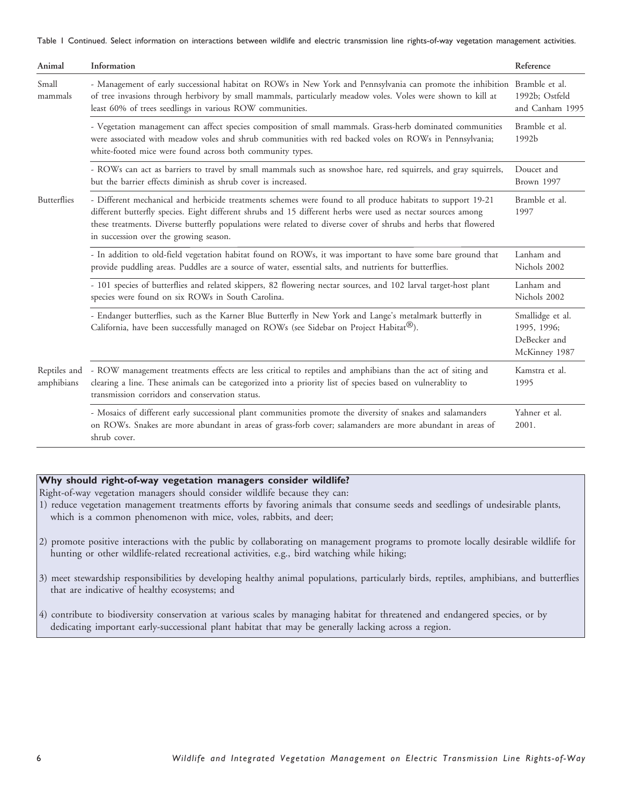Table 1 Continued. Select information on interactions between wildlife and electric transmission line rights-of-way vegetation management activities.

| Animal                     | Information                                                                                                                                                                                                                                                                                                                                                                              | Reference                                                        |
|----------------------------|------------------------------------------------------------------------------------------------------------------------------------------------------------------------------------------------------------------------------------------------------------------------------------------------------------------------------------------------------------------------------------------|------------------------------------------------------------------|
| Small<br>mammals           | - Management of early successional habitat on ROWs in New York and Pennsylvania can promote the inhibition Bramble et al.<br>of tree invasions through herbivory by small mammals, particularly meadow voles. Voles were shown to kill at<br>least 60% of trees seedlings in various ROW communities.                                                                                    | 1992b; Ostfeld<br>and Canham 1995                                |
|                            | - Vegetation management can affect species composition of small mammals. Grass-herb dominated communities<br>were associated with meadow voles and shrub communities with red backed voles on ROWs in Pennsylvania;<br>white-footed mice were found across both community types.                                                                                                         | Bramble et al.<br>1992b                                          |
|                            | - ROWs can act as barriers to travel by small mammals such as snowshoe hare, red squirrels, and gray squirrels,<br>but the barrier effects diminish as shrub cover is increased.                                                                                                                                                                                                         | Doucet and<br>Brown 1997                                         |
| Butterflies                | - Different mechanical and herbicide treatments schemes were found to all produce habitats to support 19-21<br>different butterfly species. Eight different shrubs and 15 different herbs were used as nectar sources among<br>these treatments. Diverse butterfly populations were related to diverse cover of shrubs and herbs that flowered<br>in succession over the growing season. | Bramble et al.<br>1997                                           |
|                            | - In addition to old-field vegetation habitat found on ROWs, it was important to have some bare ground that<br>provide puddling areas. Puddles are a source of water, essential salts, and nutrients for butterflies.                                                                                                                                                                    | Lanham and<br>Nichols 2002                                       |
|                            | - 101 species of butterflies and related skippers, 82 flowering nectar sources, and 102 larval target-host plant<br>species were found on six ROWs in South Carolina.                                                                                                                                                                                                                    | Lanham and<br>Nichols 2002                                       |
|                            | - Endanger butterflies, such as the Karner Blue Butterfly in New York and Lange's metalmark butterfly in<br>California, have been successfully managed on ROWs (see Sidebar on Project Habitat <sup>®</sup> ).                                                                                                                                                                           | Smallidge et al.<br>1995, 1996;<br>DeBecker and<br>McKinney 1987 |
| Reptiles and<br>amphibians | - ROW management treatments effects are less critical to reptiles and amphibians than the act of siting and<br>clearing a line. These animals can be categorized into a priority list of species based on vulnerablity to<br>transmission corridors and conservation status.                                                                                                             | Kamstra et al.<br>1995                                           |
|                            | - Mosaics of different early successional plant communities promote the diversity of snakes and salamanders<br>on ROWs. Snakes are more abundant in areas of grass-forb cover; salamanders are more abundant in areas of<br>shrub cover.                                                                                                                                                 | Yahner et al.<br>2001.                                           |

## **Why should right-of-way vegetation managers consider wildlife?**

Right-of-way vegetation managers should consider wildlife because they can:

- 1) reduce vegetation management treatments efforts by favoring animals that consume seeds and seedlings of undesirable plants, which is a common phenomenon with mice, voles, rabbits, and deer;
- 2) promote positive interactions with the public by collaborating on management programs to promote locally desirable wildlife for hunting or other wildlife-related recreational activities, e.g., bird watching while hiking;
- 3) meet stewardship responsibilities by developing healthy animal populations, particularly birds, reptiles, amphibians, and butterflies that are indicative of healthy ecosystems; and

4) contribute to biodiversity conservation at various scales by managing habitat for threatened and endangered species, or by dedicating important early-successional plant habitat that may be generally lacking across a region.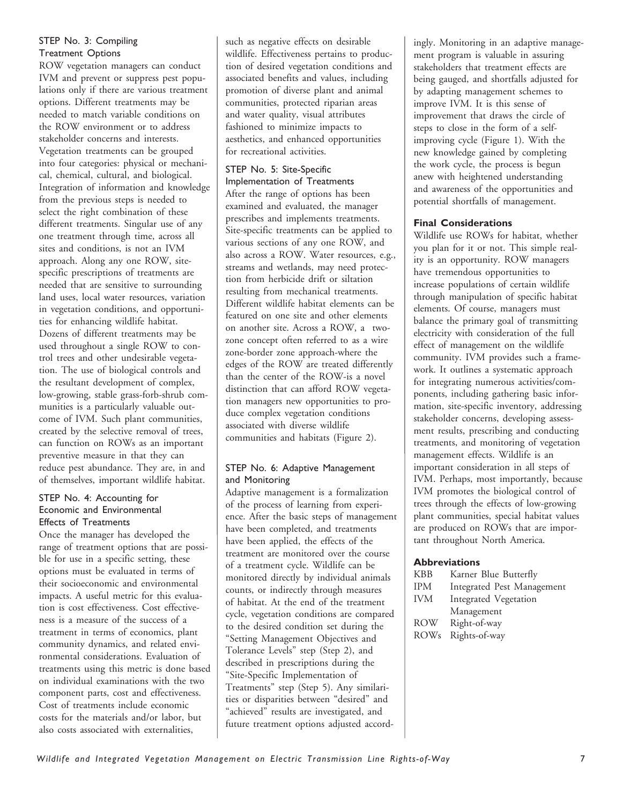# STEP No. 3: Compiling Treatment Options

ROW vegetation managers can conduct IVM and prevent or suppress pest populations only if there are various treatment options. Different treatments may be needed to match variable conditions on the ROW environment or to address stakeholder concerns and interests. Vegetation treatments can be grouped into four categories: physical or mechanical, chemical, cultural, and biological. Integration of information and knowledge from the previous steps is needed to select the right combination of these different treatments. Singular use of any one treatment through time, across all sites and conditions, is not an IVM approach. Along any one ROW, sitespecific prescriptions of treatments are needed that are sensitive to surrounding land uses, local water resources, variation in vegetation conditions, and opportunities for enhancing wildlife habitat. Dozens of different treatments may be used throughout a single ROW to control trees and other undesirable vegetation. The use of biological controls and the resultant development of complex, low-growing, stable grass-forb-shrub communities is a particularly valuable outcome of IVM. Such plant communities, created by the selective removal of trees, can function on ROWs as an important preventive measure in that they can reduce pest abundance. They are, in and of themselves, important wildlife habitat.

### STEP No. 4: Accounting for Economic and Environmental Effects of Treatments

Once the manager has developed the range of treatment options that are possible for use in a specific setting, these options must be evaluated in terms of their socioeconomic and environmental impacts. A useful metric for this evaluation is cost effectiveness. Cost effectiveness is a measure of the success of a treatment in terms of economics, plant community dynamics, and related environmental considerations. Evaluation of treatments using this metric is done based on individual examinations with the two component parts, cost and effectiveness. Cost of treatments include economic costs for the materials and/or labor, but also costs associated with externalities,

such as negative effects on desirable wildlife. Effectiveness pertains to production of desired vegetation conditions and associated benefits and values, including promotion of diverse plant and animal communities, protected riparian areas and water quality, visual attributes fashioned to minimize impacts to aesthetics, and enhanced opportunities for recreational activities.

# STEP No. 5: Site-Specific

Implementation of Treatments After the range of options has been examined and evaluated, the manager prescribes and implements treatments. Site-specific treatments can be applied to various sections of any one ROW, and also across a ROW. Water resources, e.g., streams and wetlands, may need protection from herbicide drift or siltation resulting from mechanical treatments. Different wildlife habitat elements can be featured on one site and other elements on another site. Across a ROW, a twozone concept often referred to as a wire zone-border zone approach-where the edges of the ROW are treated differently than the center of the ROW-is a novel distinction that can afford ROW vegetation managers new opportunities to produce complex vegetation conditions associated with diverse wildlife communities and habitats (Figure 2).

# STEP No. 6: Adaptive Management and Monitoring

Adaptive management is a formalization of the process of learning from experience. After the basic steps of management have been completed, and treatments have been applied, the effects of the treatment are monitored over the course of a treatment cycle. Wildlife can be monitored directly by individual animals counts, or indirectly through measures of habitat. At the end of the treatment cycle, vegetation conditions are compared to the desired condition set during the "Setting Management Objectives and Tolerance Levels" step (Step 2), and described in prescriptions during the "Site-Specific Implementation of Treatments" step (Step 5). Any similarities or disparities between "desired" and "achieved" results are investigated, and future treatment options adjusted accordingly. Monitoring in an adaptive management program is valuable in assuring stakeholders that treatment effects are being gauged, and shortfalls adjusted for by adapting management schemes to improve IVM. It is this sense of improvement that draws the circle of steps to close in the form of a selfimproving cycle (Figure 1). With the new knowledge gained by completing the work cycle, the process is begun anew with heightened understanding and awareness of the opportunities and potential shortfalls of management.

# **Final Considerations**

Wildlife use ROWs for habitat, whether you plan for it or not. This simple reality is an opportunity. ROW managers have tremendous opportunities to increase populations of certain wildlife through manipulation of specific habitat elements. Of course, managers must balance the primary goal of transmitting electricity with consideration of the full effect of management on the wildlife community. IVM provides such a framework. It outlines a systematic approach for integrating numerous activities/components, including gathering basic information, site-specific inventory, addressing stakeholder concerns, developing assessment results, prescribing and conducting treatments, and monitoring of vegetation management effects. Wildlife is an important consideration in all steps of IVM. Perhaps, most importantly, because IVM promotes the biological control of trees through the effects of low-growing plant communities, special habitat values are produced on ROWs that are important throughout North America.

## **Abbreviations**

| <b>KBB</b>       | Karner Blue Butterfly      |
|------------------|----------------------------|
| <b>IPM</b>       | Integrated Pest Management |
| <b>IVM</b>       | Integrated Vegetation      |
|                  | Management                 |
| <b>ROW</b>       | Right-of-way               |
| ROW <sub>s</sub> | Rights-of-way              |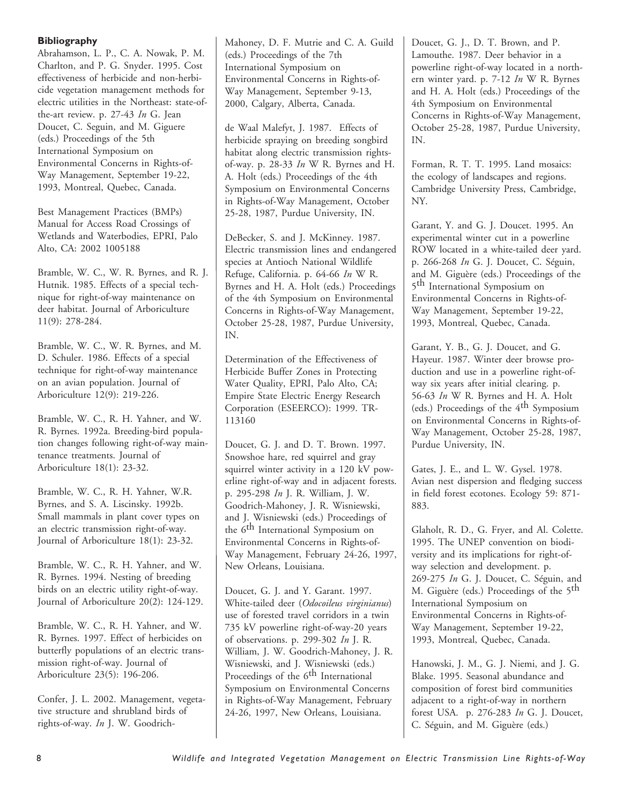## **Bibliography**

Abrahamson, L. P., C. A. Nowak, P. M. Charlton, and P. G. Snyder. 1995. Cost effectiveness of herbicide and non-herbicide vegetation management methods for electric utilities in the Northeast: state-ofthe-art review. p. 27-43 *In* G. Jean Doucet, C. Seguin, and M. Giguere (eds.) Proceedings of the 5th International Symposium on Environmental Concerns in Rights-of-Way Management, September 19-22, 1993, Montreal, Quebec, Canada.

Best Management Practices (BMPs) Manual for Access Road Crossings of Wetlands and Waterbodies, EPRI, Palo Alto, CA: 2002 1005188

Bramble, W. C., W. R. Byrnes, and R. J. Hutnik. 1985. Effects of a special technique for right-of-way maintenance on deer habitat. Journal of Arboriculture 11(9): 278-284.

Bramble, W. C., W. R. Byrnes, and M. D. Schuler. 1986. Effects of a special technique for right-of-way maintenance on an avian population. Journal of Arboriculture 12(9): 219-226.

Bramble, W. C., R. H. Yahner, and W. R. Byrnes. 1992a. Breeding-bird population changes following right-of-way maintenance treatments. Journal of Arboriculture 18(1): 23-32.

Bramble, W. C., R. H. Yahner, W.R. Byrnes, and S. A. Liscinsky. 1992b. Small mammals in plant cover types on an electric transmission right-of-way. Journal of Arboriculture 18(1): 23-32.

Bramble, W. C., R. H. Yahner, and W. R. Byrnes. 1994. Nesting of breeding birds on an electric utility right-of-way. Journal of Arboriculture 20(2): 124-129.

Bramble, W. C., R. H. Yahner, and W. R. Byrnes. 1997. Effect of herbicides on butterfly populations of an electric transmission right-of-way. Journal of Arboriculture 23(5): 196-206.

Confer, J. L. 2002. Management, vegetative structure and shrubland birds of rights-of-way. *In* J. W. GoodrichMahoney, D. F. Mutrie and C. A. Guild (eds.) Proceedings of the 7th International Symposium on Environmental Concerns in Rights-of-Way Management, September 9-13, 2000, Calgary, Alberta, Canada.

de Waal Malefyt, J. 1987. Effects of herbicide spraying on breeding songbird habitat along electric transmission rightsof-way. p. 28-33 *In* W R. Byrnes and H. A. Holt (eds.) Proceedings of the 4th Symposium on Environmental Concerns in Rights-of-Way Management, October 25-28, 1987, Purdue University, IN.

DeBecker, S. and J. McKinney. 1987. Electric transmission lines and endangered species at Antioch National Wildlife Refuge, California. p. 64-66 *In* W R. Byrnes and H. A. Holt (eds.) Proceedings of the 4th Symposium on Environmental Concerns in Rights-of-Way Management, October 25-28, 1987, Purdue University, IN.

Determination of the Effectiveness of Herbicide Buffer Zones in Protecting Water Quality, EPRI, Palo Alto, CA; Empire State Electric Energy Research Corporation (ESEERCO): 1999. TR-113160

Doucet, G. J. and D. T. Brown. 1997. Snowshoe hare, red squirrel and gray squirrel winter activity in a 120 kV powerline right-of-way and in adjacent forests. p. 295-298 *In* J. R. William, J. W. Goodrich-Mahoney, J. R. Wisniewski, and J. Wisniewski (eds.) Proceedings of the 6th International Symposium on Environmental Concerns in Rights-of-Way Management, February 24-26, 1997, New Orleans, Louisiana.

Doucet, G. J. and Y. Garant. 1997. White-tailed deer (*Odocoileus virginianus*) use of forested travel corridors in a twin 735 kV powerline right-of-way-20 years of observations. p. 299-302 *In* J. R. William, J. W. Goodrich-Mahoney, J. R. Wisniewski, and J. Wisniewski (eds.) Proceedings of the 6<sup>th</sup> International Symposium on Environmental Concerns in Rights-of-Way Management, February 24-26, 1997, New Orleans, Louisiana.

Doucet, G. J., D. T. Brown, and P. Lamouthe. 1987. Deer behavior in a powerline right-of-way located in a northern winter yard. p. 7-12 *In* W R. Byrnes and H. A. Holt (eds.) Proceedings of the 4th Symposium on Environmental Concerns in Rights-of-Way Management, October 25-28, 1987, Purdue University, IN.

Forman, R. T. T. 1995. Land mosaics: the ecology of landscapes and regions. Cambridge University Press, Cambridge, NY.

Garant, Y. and G. J. Doucet. 1995. An experimental winter cut in a powerline ROW located in a white-tailed deer yard. p. 266-268 *In* G. J. Doucet, C. Séguin, and M. Giguère (eds.) Proceedings of the 5th International Symposium on Environmental Concerns in Rights-of-Way Management, September 19-22, 1993, Montreal, Quebec, Canada.

Garant, Y. B., G. J. Doucet, and G. Hayeur. 1987. Winter deer browse production and use in a powerline right-ofway six years after initial clearing. p. 56-63 *In* W R. Byrnes and H. A. Holt (eds.) Proceedings of the 4th Symposium on Environmental Concerns in Rights-of-Way Management, October 25-28, 1987, Purdue University, IN.

Gates, J. E., and L. W. Gysel. 1978. Avian nest dispersion and fledging success in field forest ecotones. Ecology 59: 871- 883.

Glaholt, R. D., G. Fryer, and Al. Colette. 1995. The UNEP convention on biodiversity and its implications for right-ofway selection and development. p. 269-275 *In* G. J. Doucet, C. Séguin, and M. Giguère (eds.) Proceedings of the 5th International Symposium on Environmental Concerns in Rights-of-Way Management, September 19-22, 1993, Montreal, Quebec, Canada.

Hanowski, J. M., G. J. Niemi, and J. G. Blake. 1995. Seasonal abundance and composition of forest bird communities adjacent to a right-of-way in northern forest USA. p. 276-283 *In* G. J. Doucet, C. Séguin, and M. Giguère (eds.)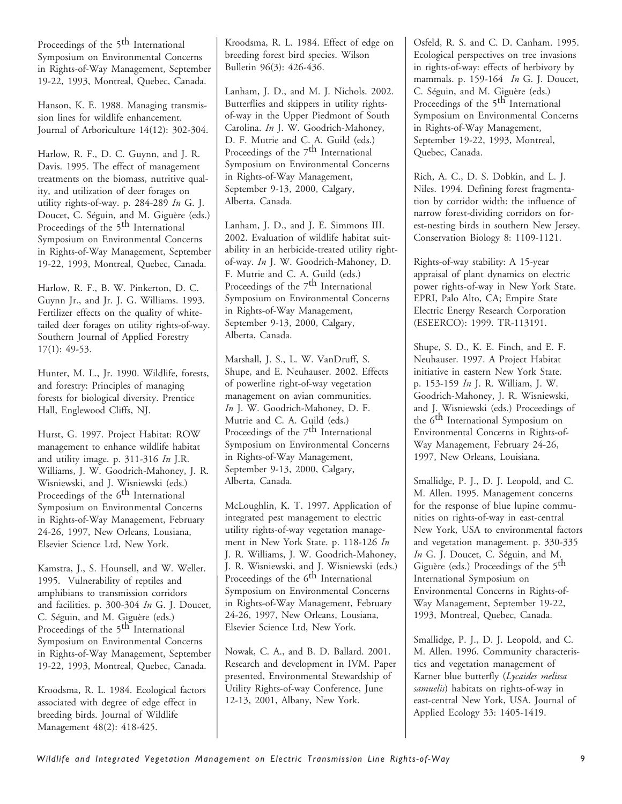Proceedings of the 5<sup>th</sup> International Symposium on Environmental Concerns in Rights-of-Way Management, September 19-22, 1993, Montreal, Quebec, Canada.

Hanson, K. E. 1988. Managing transmission lines for wildlife enhancement. Journal of Arboriculture 14(12): 302-304.

Harlow, R. F., D. C. Guynn, and J. R. Davis. 1995. The effect of management treatments on the biomass, nutritive quality, and utilization of deer forages on utility rights-of-way. p. 284-289 *In* G. J. Doucet, C. Séguin, and M. Giguère (eds.) Proceedings of the 5<sup>th</sup> International Symposium on Environmental Concerns in Rights-of-Way Management, September 19-22, 1993, Montreal, Quebec, Canada.

Harlow, R. F., B. W. Pinkerton, D. C. Guynn Jr., and Jr. J. G. Williams. 1993. Fertilizer effects on the quality of whitetailed deer forages on utility rights-of-way. Southern Journal of Applied Forestry 17(1): 49-53.

Hunter, M. L., Jr. 1990. Wildlife, forests, and forestry: Principles of managing forests for biological diversity. Prentice Hall, Englewood Cliffs, NJ.

Hurst, G. 1997. Project Habitat: ROW management to enhance wildlife habitat and utility image. p. 311-316 *In* J.R. Williams, J. W. Goodrich-Mahoney, J. R. Wisniewski, and J. Wisniewski (eds.) Proceedings of the 6<sup>th</sup> International Symposium on Environmental Concerns in Rights-of-Way Management, February 24-26, 1997, New Orleans, Lousiana, Elsevier Science Ltd, New York.

Kamstra, J., S. Hounsell, and W. Weller. 1995. Vulnerability of reptiles and amphibians to transmission corridors and facilities. p. 300-304 *In* G. J. Doucet, C. Séguin, and M. Giguère (eds.) Proceedings of the 5<sup>th</sup> International Symposium on Environmental Concerns in Rights-of-Way Management, September 19-22, 1993, Montreal, Quebec, Canada.

Kroodsma, R. L. 1984. Ecological factors associated with degree of edge effect in breeding birds. Journal of Wildlife Management 48(2): 418-425.

Kroodsma, R. L. 1984. Effect of edge on breeding forest bird species. Wilson Bulletin 96(3): 426-436.

Lanham, J. D., and M. J. Nichols. 2002. Butterflies and skippers in utility rightsof-way in the Upper Piedmont of South Carolina. *In* J. W. Goodrich-Mahoney, D. F. Mutrie and C. A. Guild (eds.) Proceedings of the 7<sup>th</sup> International Symposium on Environmental Concerns in Rights-of-Way Management, September 9-13, 2000, Calgary, Alberta, Canada.

Lanham, J. D., and J. E. Simmons III. 2002. Evaluation of wildlife habitat suitability in an herbicide-treated utility rightof-way. *In* J. W. Goodrich-Mahoney, D. F. Mutrie and C. A. Guild (eds.) Proceedings of the 7<sup>th</sup> International Symposium on Environmental Concerns in Rights-of-Way Management, September 9-13, 2000, Calgary, Alberta, Canada.

Marshall, J. S., L. W. VanDruff, S. Shupe, and E. Neuhauser. 2002. Effects of powerline right-of-way vegetation management on avian communities. *In* J. W. Goodrich-Mahoney, D. F. Mutrie and C. A. Guild (eds.) Proceedings of the 7<sup>th</sup> International Symposium on Environmental Concerns in Rights-of-Way Management, September 9-13, 2000, Calgary, Alberta, Canada.

McLoughlin, K. T. 1997. Application of integrated pest management to electric utility rights-of-way vegetation management in New York State. p. 118-126 *In* J. R. Williams, J. W. Goodrich-Mahoney, J. R. Wisniewski, and J. Wisniewski (eds.) Proceedings of the 6<sup>th</sup> International Symposium on Environmental Concerns in Rights-of-Way Management, February 24-26, 1997, New Orleans, Lousiana, Elsevier Science Ltd, New York.

Nowak, C. A., and B. D. Ballard. 2001. Research and development in IVM. Paper presented, Environmental Stewardship of Utility Rights-of-way Conference, June 12-13, 2001, Albany, New York.

Osfeld, R. S. and C. D. Canham. 1995. Ecological perspectives on tree invasions in rights-of-way: effects of herbivory by mammals. p. 159-164 *In* G. J. Doucet, C. Séguin, and M. Giguère (eds.) Proceedings of the 5<sup>th</sup> International Symposium on Environmental Concerns in Rights-of-Way Management, September 19-22, 1993, Montreal, Quebec, Canada.

Rich, A. C., D. S. Dobkin, and L. J. Niles. 1994. Defining forest fragmentation by corridor width: the influence of narrow forest-dividing corridors on forest-nesting birds in southern New Jersey. Conservation Biology 8: 1109-1121.

Rights-of-way stability: A 15-year appraisal of plant dynamics on electric power rights-of-way in New York State. EPRI, Palo Alto, CA; Empire State Electric Energy Research Corporation (ESEERCO): 1999. TR-113191.

Shupe, S. D., K. E. Finch, and E. F. Neuhauser. 1997. A Project Habitat initiative in eastern New York State. p. 153-159 *In* J. R. William, J. W. Goodrich-Mahoney, J. R. Wisniewski, and J. Wisniewski (eds.) Proceedings of the 6th International Symposium on Environmental Concerns in Rights-of-Way Management, February 24-26, 1997, New Orleans, Louisiana.

Smallidge, P. J., D. J. Leopold, and C. M. Allen. 1995. Management concerns for the response of blue lupine communities on rights-of-way in east-central New York, USA to environmental factors and vegetation management. p. 330-335 *In* G. J. Doucet, C. Séguin, and M. Giguère (eds.) Proceedings of the 5<sup>th</sup> International Symposium on Environmental Concerns in Rights-of-Way Management, September 19-22, 1993, Montreal, Quebec, Canada.

Smallidge, P. J., D. J. Leopold, and C. M. Allen. 1996. Community characteristics and vegetation management of Karner blue butterfly (*Lycaides melissa samuelis*) habitats on rights-of-way in east-central New York, USA. Journal of Applied Ecology 33: 1405-1419.